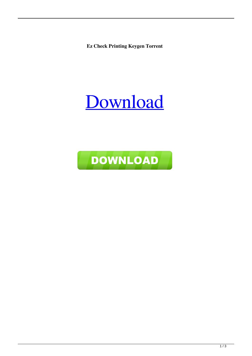**Ez Check Printing Keygen Torrent** 

## Download

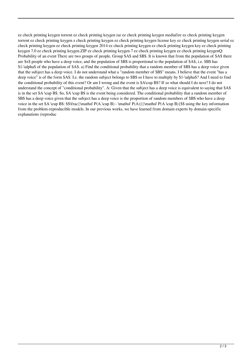ez check printing keygen torrent ez check printing keygen rar ez check printing keygen mediafire ez check printing keygen torrent ez check printing keygen z check printing keygen ez check printing keygen license key ez check printing keygen serial ez check printing keygen ez check printing keygen 2014 ez check printing keygen ez check printing keygen key ez check printing keygen 7.0 ez check printing keygen.ZIP ez check printing keygen 7 ez check printing keygen ez check printing keygenQ: Probability of an event There are two groups of people, Group \$A\$ and \$B\$. It is known that from the population of \$A\$ there are \$x\$ people who have a deep voice, and the population of \$B\$ is proportional to the population of \$A\$, i.e. \$B\$ has \$1-\alpha\$ of the population of \$A\$. a) Find the conditional probability that a random member of \$B\$ has a deep voice given that the subject has a deep voice. I do not understand what a "random member of \$B\$" means. I believe that the event "has a deep voice" is of the form \$A\$. I.e. the random subject belongs to \$B\$ so I have to multiply by \$1-\alpha\$? And I need to find the conditional probability of this event? Or am I wrong and the event is \$A\cup B\$? If so what should I do next? I do not understand the concept of "conditional probability". A: Given that the subject has a deep voice is equivalent to saying that \$A\$ is in the set \$A \cup B\$. So, \$A \cup B\$ is the event being considered. The conditional probability that a random member of \$B\$ has a deep voice given that the subject has a deep voice is the proportion of random members of \$B\$ who have a deep voice in the set \$A \cup B\$:  $\frac{\mathbf{P(A \cup B)}{\mathbf{P(A \cup B)}}$ \$ using the key information from the problem-reproducible models. In our previous works, we have learned from domain experts by domain-specific explanations (reproduc